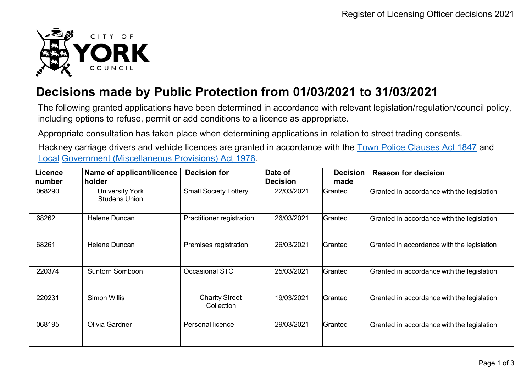

## **Decisions made by Public Protection from 01/03/2021 to 31/03/2021**

The following granted applications have been determined in accordance with relevant legislation/regulation/council policy, including options to refuse, permit or add conditions to a licence as appropriate.

Appropriate consultation has taken place when determining applications in relation to street trading consents.

Hackney carriage drivers and vehicle licences are granted in accordance with the Town Police [Clauses](http://www.legislation.gov.uk/ukpga/Vict/10-11/89) Act 1847 and [Local](http://www.legislation.gov.uk/ukpga/1976/57) [Government \(Miscellaneous Provisions\) Act 1976.](http://www.legislation.gov.uk/ukpga/1976/57)

| <b>Licence</b><br>number | Name of applicant/licence<br>holder            | <b>Decision for</b>                 | Date of<br><b>Decision</b> | <b>Decision</b><br>made | <b>Reason for decision</b>                 |
|--------------------------|------------------------------------------------|-------------------------------------|----------------------------|-------------------------|--------------------------------------------|
| 068290                   | <b>University York</b><br><b>Studens Union</b> | <b>Small Society Lottery</b>        | 22/03/2021                 | Granted                 | Granted in accordance with the legislation |
| 68262                    | <b>Helene Duncan</b>                           | Practitioner registration           | 26/03/2021                 | Granted                 | Granted in accordance with the legislation |
| 68261                    | Helene Duncan                                  | Premises registration               | 26/03/2021                 | Granted                 | Granted in accordance with the legislation |
| 220374                   | <b>Suntorn Somboon</b>                         | <b>Occasional STC</b>               | 25/03/2021                 | Granted                 | Granted in accordance with the legislation |
| 220231                   | <b>Simon Willis</b>                            | <b>Charity Street</b><br>Collection | 19/03/2021                 | Granted                 | Granted in accordance with the legislation |
| 068195                   | Olivia Gardner                                 | Personal licence                    | 29/03/2021                 | Granted                 | Granted in accordance with the legislation |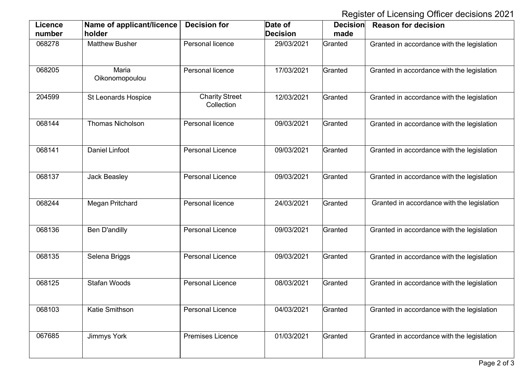Register of Licensing Officer decisions 2021

| <b>Licence</b><br>number | Name of applicant/licence<br>holder | <b>Decision for</b>                 | Date of<br><b>Decision</b> | <b>Decision</b><br>made | <b>Reason for decision</b>                 |
|--------------------------|-------------------------------------|-------------------------------------|----------------------------|-------------------------|--------------------------------------------|
| 068278                   | <b>Matthew Busher</b>               | Personal licence                    | 29/03/2021                 | Granted                 | Granted in accordance with the legislation |
| 068205                   | Maria<br>Oikonomopoulou             | Personal licence                    | 17/03/2021                 | Granted                 | Granted in accordance with the legislation |
| 204599                   | <b>St Leonards Hospice</b>          | <b>Charity Street</b><br>Collection | 12/03/2021                 | Granted                 | Granted in accordance with the legislation |
| 068144                   | <b>Thomas Nicholson</b>             | Personal licence                    | 09/03/2021                 | Granted                 | Granted in accordance with the legislation |
| 068141                   | <b>Daniel Linfoot</b>               | <b>Personal Licence</b>             | 09/03/2021                 | Granted                 | Granted in accordance with the legislation |
| 068137                   | <b>Jack Beasley</b>                 | <b>Personal Licence</b>             | 09/03/2021                 | Granted                 | Granted in accordance with the legislation |
| 068244                   | <b>Megan Pritchard</b>              | Personal licence                    | 24/03/2021                 | Granted                 | Granted in accordance with the legislation |
| 068136                   | <b>Ben D'andilly</b>                | <b>Personal Licence</b>             | 09/03/2021                 | Granted                 | Granted in accordance with the legislation |
| 068135                   | Selena Briggs                       | <b>Personal Licence</b>             | 09/03/2021                 | Granted                 | Granted in accordance with the legislation |
| 068125                   | <b>Stafan Woods</b>                 | <b>Personal Licence</b>             | 08/03/2021                 | Granted                 | Granted in accordance with the legislation |
| 068103                   | Katie Smithson                      | <b>Personal Licence</b>             | 04/03/2021                 | Granted                 | Granted in accordance with the legislation |
| 067685                   | Jimmys York                         | <b>Premises Licence</b>             | 01/03/2021                 | Granted                 | Granted in accordance with the legislation |